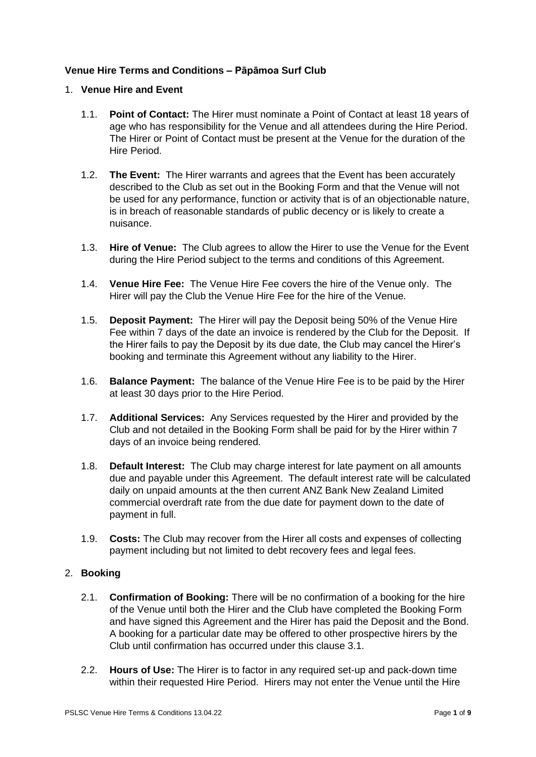# **Venue Hire Terms and Conditions – Pāpāmoa Surf Club**

### 1. **Venue Hire and Event**

- 1.1. **Point of Contact:** The Hirer must nominate a Point of Contact at least 18 years of age who has responsibility for the Venue and all attendees during the Hire Period. The Hirer or Point of Contact must be present at the Venue for the duration of the Hire Period.
- 1.2. **The Event:** The Hirer warrants and agrees that the Event has been accurately described to the Club as set out in the Booking Form and that the Venue will not be used for any performance, function or activity that is of an objectionable nature, is in breach of reasonable standards of public decency or is likely to create a nuisance.
- 1.3. **Hire of Venue:** The Club agrees to allow the Hirer to use the Venue for the Event during the Hire Period subject to the terms and conditions of this Agreement.
- 1.4. **Venue Hire Fee:** The Venue Hire Fee covers the hire of the Venue only. The Hirer will pay the Club the Venue Hire Fee for the hire of the Venue.
- 1.5. **Deposit Payment:** The Hirer will pay the Deposit being 50% of the Venue Hire Fee within 7 days of the date an invoice is rendered by the Club for the Deposit. If the Hirer fails to pay the Deposit by its due date, the Club may cancel the Hirer's booking and terminate this Agreement without any liability to the Hirer.
- 1.6. **Balance Payment:** The balance of the Venue Hire Fee is to be paid by the Hirer at least 30 days prior to the Hire Period.
- 1.7. **Additional Services:** Any Services requested by the Hirer and provided by the Club and not detailed in the Booking Form shall be paid for by the Hirer within 7 days of an invoice being rendered.
- 1.8. **Default Interest:** The Club may charge interest for late payment on all amounts due and payable under this Agreement. The default interest rate will be calculated daily on unpaid amounts at the then current ANZ Bank New Zealand Limited commercial overdraft rate from the due date for payment down to the date of payment in full.
- 1.9. **Costs:** The Club may recover from the Hirer all costs and expenses of collecting payment including but not limited to debt recovery fees and legal fees.

# 2. **Booking**

- 2.1. **Confirmation of Booking:** There will be no confirmation of a booking for the hire of the Venue until both the Hirer and the Club have completed the Booking Form and have signed this Agreement and the Hirer has paid the Deposit and the Bond. A booking for a particular date may be offered to other prospective hirers by the Club until confirmation has occurred under this clause 3.1.
- 2.2. **Hours of Use:** The Hirer is to factor in any required set-up and pack-down time within their requested Hire Period. Hirers may not enter the Venue until the Hire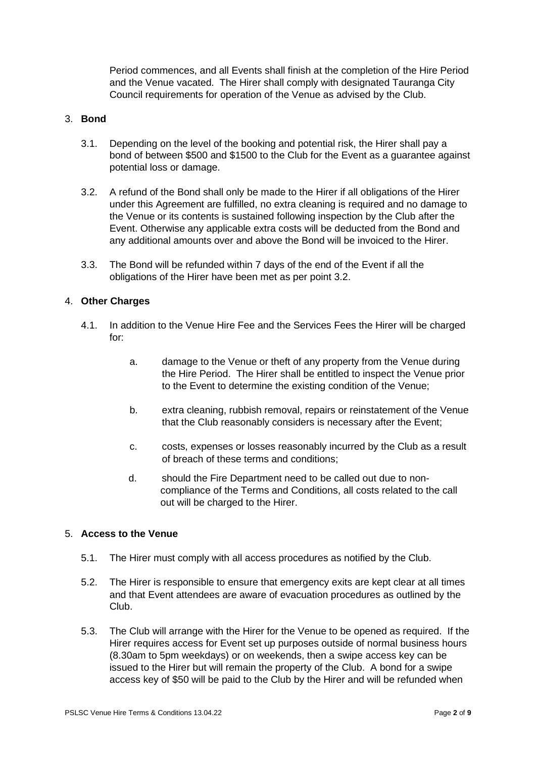Period commences, and all Events shall finish at the completion of the Hire Period and the Venue vacated. The Hirer shall comply with designated Tauranga City Council requirements for operation of the Venue as advised by the Club.

### 3. **Bond**

- 3.1. Depending on the level of the booking and potential risk, the Hirer shall pay a bond of between \$500 and \$1500 to the Club for the Event as a guarantee against potential loss or damage.
- 3.2. A refund of the Bond shall only be made to the Hirer if all obligations of the Hirer under this Agreement are fulfilled, no extra cleaning is required and no damage to the Venue or its contents is sustained following inspection by the Club after the Event. Otherwise any applicable extra costs will be deducted from the Bond and any additional amounts over and above the Bond will be invoiced to the Hirer.
- 3.3. The Bond will be refunded within 7 days of the end of the Event if all the obligations of the Hirer have been met as per point 3.2.

### 4. **Other Charges**

- 4.1. In addition to the Venue Hire Fee and the Services Fees the Hirer will be charged for:
	- a. damage to the Venue or theft of any property from the Venue during the Hire Period. The Hirer shall be entitled to inspect the Venue prior to the Event to determine the existing condition of the Venue;
	- b. extra cleaning, rubbish removal, repairs or reinstatement of the Venue that the Club reasonably considers is necessary after the Event;
	- c. costs, expenses or losses reasonably incurred by the Club as a result of breach of these terms and conditions;
	- d. should the Fire Department need to be called out due to noncompliance of the Terms and Conditions, all costs related to the call out will be charged to the Hirer.

# 5. **Access to the Venue**

- 5.1. The Hirer must comply with all access procedures as notified by the Club.
- 5.2. The Hirer is responsible to ensure that emergency exits are kept clear at all times and that Event attendees are aware of evacuation procedures as outlined by the Club.
- 5.3. The Club will arrange with the Hirer for the Venue to be opened as required. If the Hirer requires access for Event set up purposes outside of normal business hours (8.30am to 5pm weekdays) or on weekends, then a swipe access key can be issued to the Hirer but will remain the property of the Club. A bond for a swipe access key of \$50 will be paid to the Club by the Hirer and will be refunded when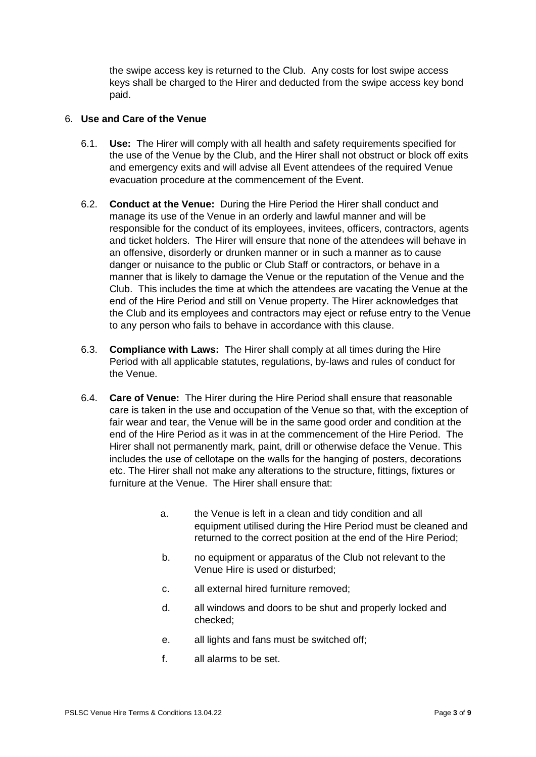the swipe access key is returned to the Club. Any costs for lost swipe access keys shall be charged to the Hirer and deducted from the swipe access key bond paid.

### 6. **Use and Care of the Venue**

- 6.1. **Use:** The Hirer will comply with all health and safety requirements specified for the use of the Venue by the Club, and the Hirer shall not obstruct or block off exits and emergency exits and will advise all Event attendees of the required Venue evacuation procedure at the commencement of the Event.
- 6.2. **Conduct at the Venue:** During the Hire Period the Hirer shall conduct and manage its use of the Venue in an orderly and lawful manner and will be responsible for the conduct of its employees, invitees, officers, contractors, agents and ticket holders. The Hirer will ensure that none of the attendees will behave in an offensive, disorderly or drunken manner or in such a manner as to cause danger or nuisance to the public or Club Staff or contractors, or behave in a manner that is likely to damage the Venue or the reputation of the Venue and the Club. This includes the time at which the attendees are vacating the Venue at the end of the Hire Period and still on Venue property. The Hirer acknowledges that the Club and its employees and contractors may eject or refuse entry to the Venue to any person who fails to behave in accordance with this clause.
- 6.3. **Compliance with Laws:** The Hirer shall comply at all times during the Hire Period with all applicable statutes, regulations, by-laws and rules of conduct for the Venue.
- 6.4. **Care of Venue:** The Hirer during the Hire Period shall ensure that reasonable care is taken in the use and occupation of the Venue so that, with the exception of fair wear and tear, the Venue will be in the same good order and condition at the end of the Hire Period as it was in at the commencement of the Hire Period. The Hirer shall not permanently mark, paint, drill or otherwise deface the Venue. This includes the use of cellotape on the walls for the hanging of posters, decorations etc. The Hirer shall not make any alterations to the structure, fittings, fixtures or furniture at the Venue. The Hirer shall ensure that:
	- a. the Venue is left in a clean and tidy condition and all equipment utilised during the Hire Period must be cleaned and returned to the correct position at the end of the Hire Period;
	- b. no equipment or apparatus of the Club not relevant to the Venue Hire is used or disturbed;
	- c. all external hired furniture removed;
	- d. all windows and doors to be shut and properly locked and checked;
	- e. all lights and fans must be switched off;
	- f. all alarms to be set.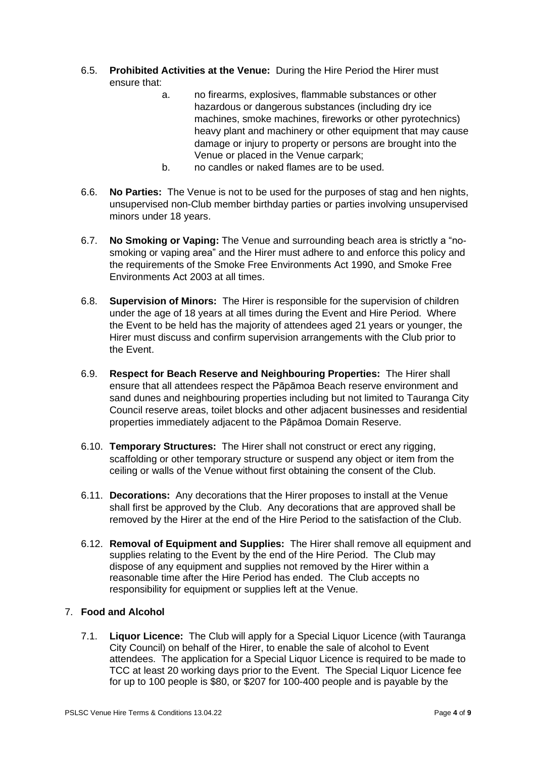- 6.5. **Prohibited Activities at the Venue:** During the Hire Period the Hirer must ensure that:
	- a. no firearms, explosives, flammable substances or other hazardous or dangerous substances (including dry ice machines, smoke machines, fireworks or other pyrotechnics) heavy plant and machinery or other equipment that may cause damage or injury to property or persons are brought into the Venue or placed in the Venue carpark;
	- b. no candles or naked flames are to be used.
- 6.6. **No Parties:** The Venue is not to be used for the purposes of stag and hen nights, unsupervised non-Club member birthday parties or parties involving unsupervised minors under 18 years.
- 6.7. **No Smoking or Vaping:** The Venue and surrounding beach area is strictly a "nosmoking or vaping area" and the Hirer must adhere to and enforce this policy and the requirements of the Smoke Free Environments Act 1990, and Smoke Free Environments Act 2003 at all times.
- 6.8. **Supervision of Minors:** The Hirer is responsible for the supervision of children under the age of 18 years at all times during the Event and Hire Period. Where the Event to be held has the majority of attendees aged 21 years or younger, the Hirer must discuss and confirm supervision arrangements with the Club prior to the Event.
- 6.9. **Respect for Beach Reserve and Neighbouring Properties:** The Hirer shall ensure that all attendees respect the Pāpāmoa Beach reserve environment and sand dunes and neighbouring properties including but not limited to Tauranga City Council reserve areas, toilet blocks and other adjacent businesses and residential properties immediately adjacent to the Pāpāmoa Domain Reserve.
- 6.10. **Temporary Structures:** The Hirer shall not construct or erect any rigging, scaffolding or other temporary structure or suspend any object or item from the ceiling or walls of the Venue without first obtaining the consent of the Club.
- 6.11. **Decorations:** Any decorations that the Hirer proposes to install at the Venue shall first be approved by the Club. Any decorations that are approved shall be removed by the Hirer at the end of the Hire Period to the satisfaction of the Club.
- 6.12. **Removal of Equipment and Supplies:** The Hirer shall remove all equipment and supplies relating to the Event by the end of the Hire Period. The Club may dispose of any equipment and supplies not removed by the Hirer within a reasonable time after the Hire Period has ended. The Club accepts no responsibility for equipment or supplies left at the Venue.

# 7. **Food and Alcohol**

7.1. **Liquor Licence:** The Club will apply for a Special Liquor Licence (with Tauranga City Council) on behalf of the Hirer, to enable the sale of alcohol to Event attendees. The application for a Special Liquor Licence is required to be made to TCC at least 20 working days prior to the Event. The Special Liquor Licence fee for up to 100 people is \$80, or \$207 for 100-400 people and is payable by the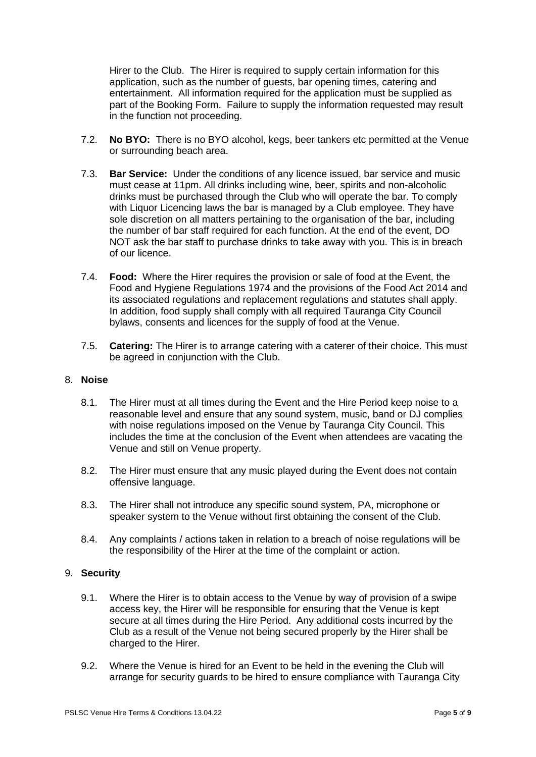Hirer to the Club. The Hirer is required to supply certain information for this application, such as the number of guests, bar opening times, catering and entertainment. All information required for the application must be supplied as part of the Booking Form. Failure to supply the information requested may result in the function not proceeding.

- 7.2. **No BYO:** There is no BYO alcohol, kegs, beer tankers etc permitted at the Venue or surrounding beach area.
- 7.3. **Bar Service:** Under the conditions of any licence issued, bar service and music must cease at 11pm. All drinks including wine, beer, spirits and non-alcoholic drinks must be purchased through the Club who will operate the bar. To comply with Liquor Licencing laws the bar is managed by a Club employee. They have sole discretion on all matters pertaining to the organisation of the bar, including the number of bar staff required for each function. At the end of the event, DO NOT ask the bar staff to purchase drinks to take away with you. This is in breach of our licence.
- 7.4. **Food:** Where the Hirer requires the provision or sale of food at the Event, the Food and Hygiene Regulations 1974 and the provisions of the Food Act 2014 and its associated regulations and replacement regulations and statutes shall apply. In addition, food supply shall comply with all required Tauranga City Council bylaws, consents and licences for the supply of food at the Venue.
- 7.5. **Catering:** The Hirer is to arrange catering with a caterer of their choice. This must be agreed in conjunction with the Club.

## 8. **Noise**

- 8.1. The Hirer must at all times during the Event and the Hire Period keep noise to a reasonable level and ensure that any sound system, music, band or DJ complies with noise regulations imposed on the Venue by Tauranga City Council. This includes the time at the conclusion of the Event when attendees are vacating the Venue and still on Venue property.
- 8.2. The Hirer must ensure that any music played during the Event does not contain offensive language.
- 8.3. The Hirer shall not introduce any specific sound system, PA, microphone or speaker system to the Venue without first obtaining the consent of the Club.
- 8.4. Any complaints / actions taken in relation to a breach of noise regulations will be the responsibility of the Hirer at the time of the complaint or action.

#### 9. **Security**

- 9.1. Where the Hirer is to obtain access to the Venue by way of provision of a swipe access key, the Hirer will be responsible for ensuring that the Venue is kept secure at all times during the Hire Period. Any additional costs incurred by the Club as a result of the Venue not being secured properly by the Hirer shall be charged to the Hirer.
- 9.2. Where the Venue is hired for an Event to be held in the evening the Club will arrange for security guards to be hired to ensure compliance with Tauranga City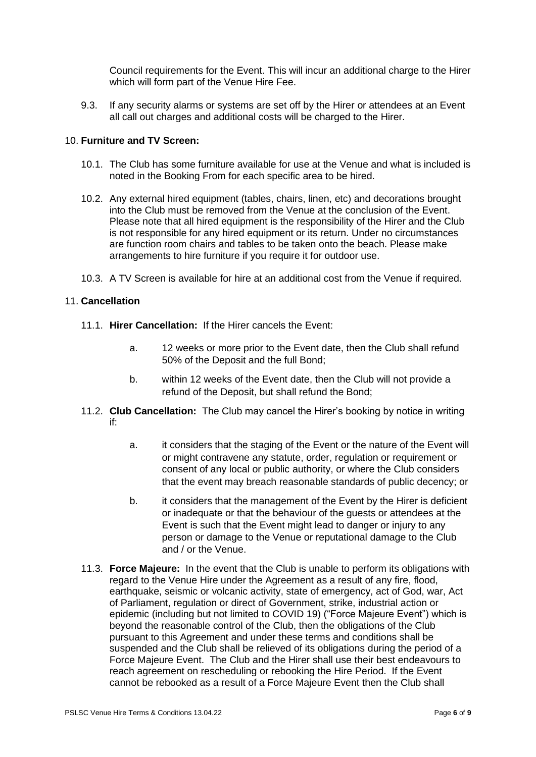Council requirements for the Event. This will incur an additional charge to the Hirer which will form part of the Venue Hire Fee.

9.3. If any security alarms or systems are set off by the Hirer or attendees at an Event all call out charges and additional costs will be charged to the Hirer.

### 10. **Furniture and TV Screen:**

- 10.1. The Club has some furniture available for use at the Venue and what is included is noted in the Booking From for each specific area to be hired.
- 10.2. Any external hired equipment (tables, chairs, linen, etc) and decorations brought into the Club must be removed from the Venue at the conclusion of the Event. Please note that all hired equipment is the responsibility of the Hirer and the Club is not responsible for any hired equipment or its return. Under no circumstances are function room chairs and tables to be taken onto the beach. Please make arrangements to hire furniture if you require it for outdoor use.
- 10.3. A TV Screen is available for hire at an additional cost from the Venue if required.

#### 11. **Cancellation**

- 11.1. **Hirer Cancellation:** If the Hirer cancels the Event:
	- a. 12 weeks or more prior to the Event date, then the Club shall refund 50% of the Deposit and the full Bond;
	- b. within 12 weeks of the Event date, then the Club will not provide a refund of the Deposit, but shall refund the Bond;
- 11.2. **Club Cancellation:** The Club may cancel the Hirer's booking by notice in writing if:
	- a. it considers that the staging of the Event or the nature of the Event will or might contravene any statute, order, regulation or requirement or consent of any local or public authority, or where the Club considers that the event may breach reasonable standards of public decency; or
	- b. it considers that the management of the Event by the Hirer is deficient or inadequate or that the behaviour of the guests or attendees at the Event is such that the Event might lead to danger or injury to any person or damage to the Venue or reputational damage to the Club and / or the Venue.
- 11.3. **Force Majeure:** In the event that the Club is unable to perform its obligations with regard to the Venue Hire under the Agreement as a result of any fire, flood, earthquake, seismic or volcanic activity, state of emergency, act of God, war, Act of Parliament, regulation or direct of Government, strike, industrial action or epidemic (including but not limited to COVID 19) ("Force Majeure Event") which is beyond the reasonable control of the Club, then the obligations of the Club pursuant to this Agreement and under these terms and conditions shall be suspended and the Club shall be relieved of its obligations during the period of a Force Majeure Event. The Club and the Hirer shall use their best endeavours to reach agreement on rescheduling or rebooking the Hire Period. If the Event cannot be rebooked as a result of a Force Majeure Event then the Club shall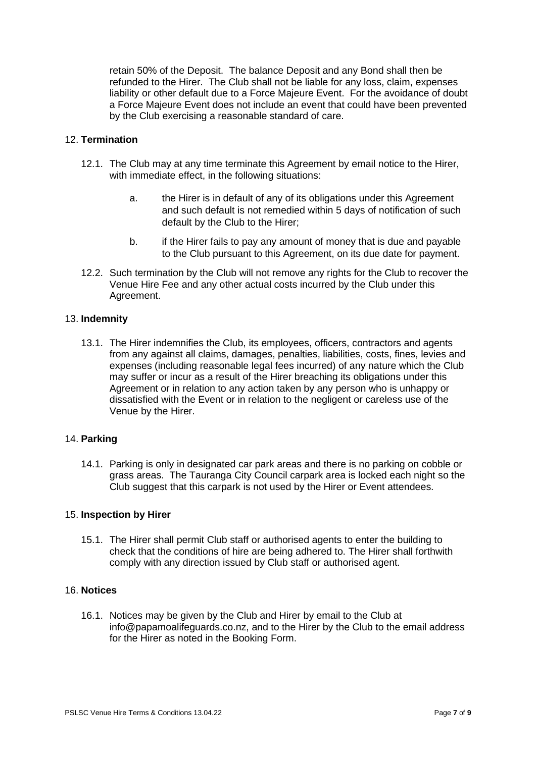retain 50% of the Deposit. The balance Deposit and any Bond shall then be refunded to the Hirer. The Club shall not be liable for any loss, claim, expenses liability or other default due to a Force Majeure Event. For the avoidance of doubt a Force Majeure Event does not include an event that could have been prevented by the Club exercising a reasonable standard of care.

### 12. **Termination**

- 12.1. The Club may at any time terminate this Agreement by email notice to the Hirer, with immediate effect, in the following situations:
	- a. the Hirer is in default of any of its obligations under this Agreement and such default is not remedied within 5 days of notification of such default by the Club to the Hirer;
	- b. if the Hirer fails to pay any amount of money that is due and payable to the Club pursuant to this Agreement, on its due date for payment.
- 12.2. Such termination by the Club will not remove any rights for the Club to recover the Venue Hire Fee and any other actual costs incurred by the Club under this Agreement.

#### 13. **Indemnity**

13.1. The Hirer indemnifies the Club, its employees, officers, contractors and agents from any against all claims, damages, penalties, liabilities, costs, fines, levies and expenses (including reasonable legal fees incurred) of any nature which the Club may suffer or incur as a result of the Hirer breaching its obligations under this Agreement or in relation to any action taken by any person who is unhappy or dissatisfied with the Event or in relation to the negligent or careless use of the Venue by the Hirer.

#### 14. **Parking**

14.1. Parking is only in designated car park areas and there is no parking on cobble or grass areas. The Tauranga City Council carpark area is locked each night so the Club suggest that this carpark is not used by the Hirer or Event attendees.

#### 15. **Inspection by Hirer**

15.1. The Hirer shall permit Club staff or authorised agents to enter the building to check that the conditions of hire are being adhered to. The Hirer shall forthwith comply with any direction issued by Club staff or authorised agent.

# 16. **Notices**

16.1. Notices may be given by the Club and Hirer by email to the Club at info@papamoalifeguards.co.nz, and to the Hirer by the Club to the email address for the Hirer as noted in the Booking Form.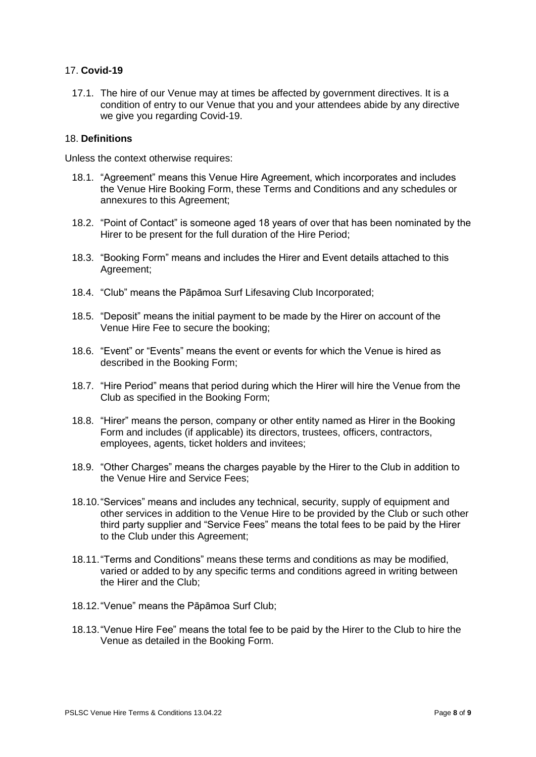# 17. **Covid-19**

17.1. The hire of our Venue may at times be affected by government directives. It is a condition of entry to our Venue that you and your attendees abide by any directive we give you regarding Covid-19.

### 18. **Definitions**

Unless the context otherwise requires:

- 18.1. "Agreement" means this Venue Hire Agreement, which incorporates and includes the Venue Hire Booking Form, these Terms and Conditions and any schedules or annexures to this Agreement;
- 18.2. "Point of Contact" is someone aged 18 years of over that has been nominated by the Hirer to be present for the full duration of the Hire Period:
- 18.3. "Booking Form" means and includes the Hirer and Event details attached to this Agreement;
- 18.4. "Club" means the Pāpāmoa Surf Lifesaving Club Incorporated;
- 18.5. "Deposit" means the initial payment to be made by the Hirer on account of the Venue Hire Fee to secure the booking;
- 18.6. "Event" or "Events" means the event or events for which the Venue is hired as described in the Booking Form;
- 18.7. "Hire Period" means that period during which the Hirer will hire the Venue from the Club as specified in the Booking Form;
- 18.8. "Hirer" means the person, company or other entity named as Hirer in the Booking Form and includes (if applicable) its directors, trustees, officers, contractors, employees, agents, ticket holders and invitees;
- 18.9. "Other Charges" means the charges payable by the Hirer to the Club in addition to the Venue Hire and Service Fees;
- 18.10."Services" means and includes any technical, security, supply of equipment and other services in addition to the Venue Hire to be provided by the Club or such other third party supplier and "Service Fees" means the total fees to be paid by the Hirer to the Club under this Agreement;
- 18.11."Terms and Conditions" means these terms and conditions as may be modified, varied or added to by any specific terms and conditions agreed in writing between the Hirer and the Club;
- 18.12."Venue" means the Pāpāmoa Surf Club;
- 18.13."Venue Hire Fee" means the total fee to be paid by the Hirer to the Club to hire the Venue as detailed in the Booking Form.